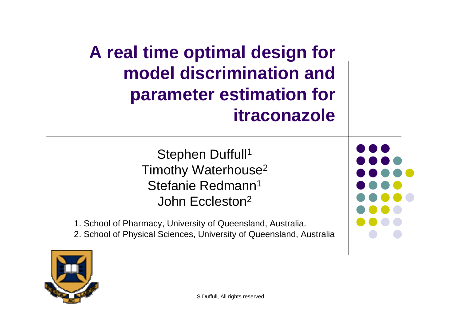**A real time optimal design for model discrimination and parameter estimation for itraconazole**

> Stephen Duffull<sup>1</sup> Timothy Waterhouse2 Stefanie Redmann<sup>1</sup> John Eccleston2

1. School of Pharmacy, University of Queensland, Australia.

2. School of Physical Sciences, University of Queensland, Australia

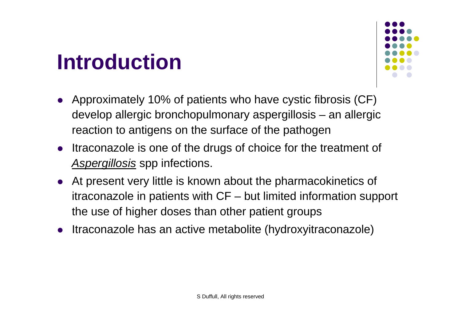### **Introduction**



- Approximately 10% of patients who have cystic fibrosis (CF) develop allergic bronchopulmonary aspergillosis – an allergic reaction to antigens on the surface of the pathogen
- $\bullet$  Itraconazole is one of the drugs of choice for the treatment of *Aspergillosis* spp infections.
- $\bullet$  At present very little is known about the pharmacokinetics of itraconazole in patients with CF – but limited information support the use of higher doses than other patient groups
- $\bullet$ Itraconazole has an active metabolite (hydroxyitraconazole)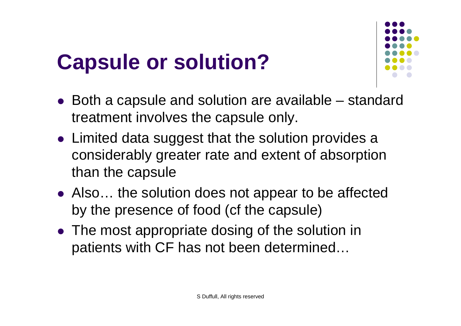## **Capsule or solution?**



- $\bullet$  Both a capsule and solution are available standard treatment involves the capsule only.
- $\bullet$  Limited data suggest that the solution provides a considerably greater rate and extent of absorption than the capsule
- Also... the solution does not appear to be affected by the presence of food (cf the capsule)
- The most appropriate dosing of the solution in patients with CF has not been determined…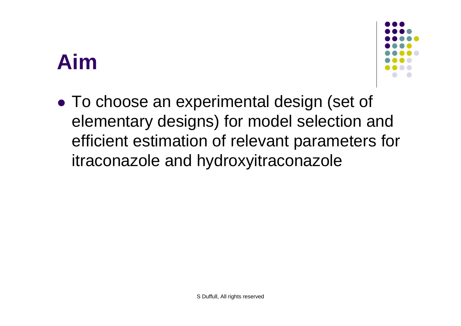### **Aim**



 $\bullet$  To choose an experimental design (set of elementary designs) for model selection and efficient estimation of relevant parameters for itraconazole and hydroxyitraconazole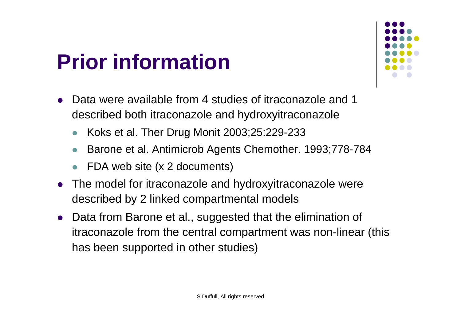### **Prior information**



- $\bullet$  Data were available from 4 studies of itraconazole and 1 described both itraconazole and hydroxyitraconazole
	- $\bullet$ Koks et al. Ther Drug Monit 2003;25:229-233
	- $\bullet$ Barone et al. Antimicrob Agents Chemother. 1993;778-784
	- $\bullet$ FDA web site (x 2 documents)
- $\bullet$  The model for itraconazole and hydroxyitraconazole were described by 2 linked compartmental models
- $\bullet$  Data from Barone et al., suggested that the elimination of itraconazole from the central compartment was non-linear (this has been supported in other studies)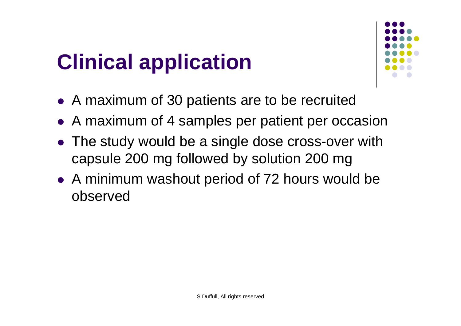# **Clinical application**



- A maximum of 30 patients are to be recruited
- A maximum of 4 samples per patient per occasion
- The study would be a single dose cross-over with capsule 200 mg followed by solution 200 mg
- A minimum washout period of 72 hours would be observed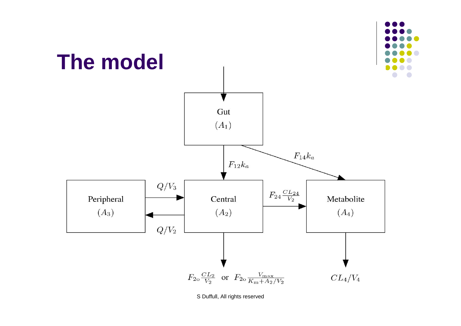

S Duffull, All rights reserved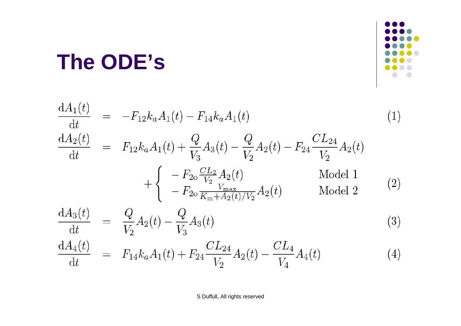### The ODE's



$$
\frac{dA_1(t)}{dt} = -F_{12}k_aA_1(t) - F_{14}k_aA_1(t)
$$
\n
$$
\frac{dA_2(t)}{dt} = F_{12}k_aA_1(t) + \frac{Q}{V_3}A_3(t) - \frac{Q}{V_2}A_2(t) - F_{24}\frac{CL_{24}}{V_2}A_2(t)
$$
\n
$$
+ \begin{cases}\n-F_{20}\frac{CL_2}{V_2}A_2(t) & \text{Model 1} \\
-F_{20}\frac{V_{\text{max}}}{K_{\text{max}}+A_2(t)/V_2}A_2(t) & \text{Model 2}\n\end{cases}
$$
\n
$$
\frac{dA_3(t)}{dt} = \frac{Q}{V_2}A_2(t) - \frac{Q}{V_3}A_3(t)
$$
\n
$$
\frac{dA_4(t)}{dt} = F_{14}k_aA_1(t) + F_{24}\frac{CL_{24}}{V_2}A_2(t) - \frac{CL_4}{V_4}A_4(t)
$$
\n(4)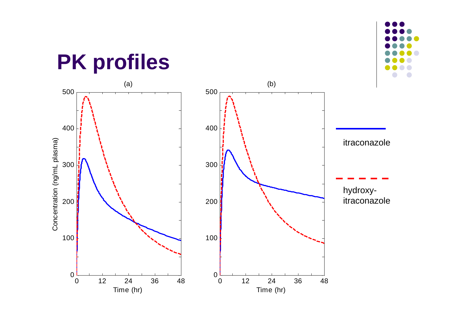### **PK profiles**



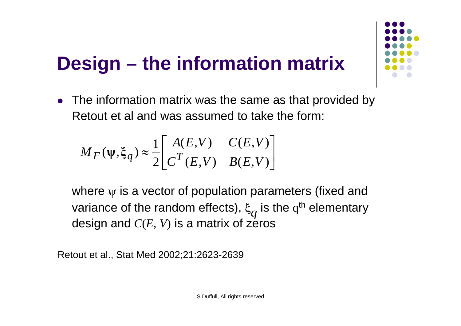### **Design – the information matrix**

• The information matrix was the same as that provided by Retout et al and was assumed to take the form:

$$
M_F(\psi, \xi_q) \approx \frac{1}{2} \begin{bmatrix} A(E, V) & C(E, V) \\ C^T(E, V) & B(E, V) \end{bmatrix}
$$

where  $\psi$  is a vector of population parameters (fixed and variance of the random effects),  $\xi_q$  is the q<sup>th</sup> elementary design and *C*(*E*, *V*) is a matrix of zeros

Retout et al., Stat Med 2002;21:2623-2639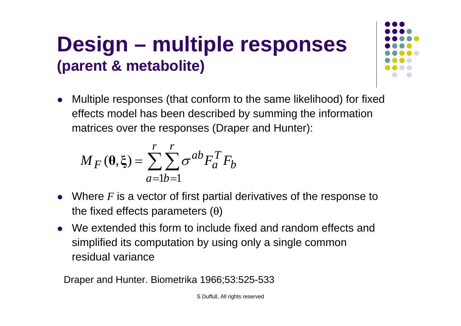#### **Design – multiple responses (parent & metabolite)**

 $\bullet$  Multiple responses (that conform to the same likelihood) for fixed effects model has been described by summing the information matrices over the responses (Draper and Hunter):

$$
M_F(\mathbf{\theta}, \xi) = \sum_{a=1}^{r} \sum_{b=1}^{r} \sigma^{ab} F_a^T F_b
$$

- $\bullet$  Where *<sup>F</sup>* is a vector of first partial derivatives of the response to the fixed effects parameters  $(θ)$
- We extended this form to include fixed and random effects and simplified its computation by using only a single common residual variance

Draper and Hunter. Biometrika 1966;53:525-533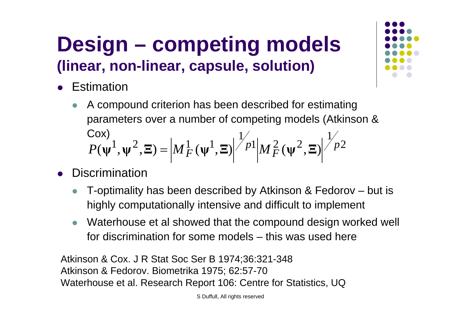#### **Design – competing models (linear, non-linear, capsule, solution)**

- $\bullet$ **Estimation** 
	- $\bullet$  A compound criterion has been described for estimating parameters over a number of competing models (Atkinson & Cox) 2  $11.2 \times 2 \times 1^1$  $P(\psi^1, \psi^2, \Xi) = \left|M_F^1(\psi^1, \Xi)\right|^{\frac{1}{p}}|M_F^2(\psi^2, \Xi)\right|^{\frac{1}{p}}$
- $\bullet$ **Discrimination** 
	- $\bullet$  T-optimality has been described by Atkinson & Fedorov – but is highly computationally intensive and difficult to implement
	- $\bullet$  Waterhouse et al showed that the compound design worked well for discrimination for some models – this was used here

Atkinson & Cox. J R Stat Soc Ser B 1974;36:321-348 Atkinson & Fedorov. Biometrika 1975; 62:57-70 Waterhouse et al. Research Report 106: Centre for Statistics, UQ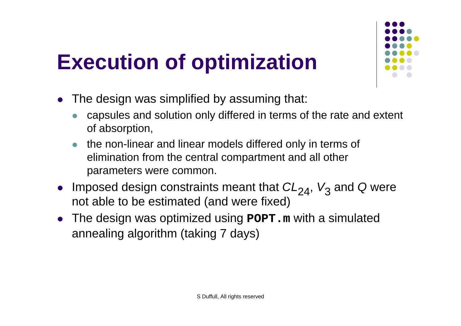## **Execution of optimization**



- $\bullet$  The design was simplified by assuming that:
	- $\bullet$  capsules and solution only differed in terms of the rate and extent of absorption,
	- $\bullet$  the non-linear and linear models differed only in terms of elimination from the central compartment and all other parameters were common.
- Imposed design constraints meant that  $CL_{24}$ ,  $V_3$  and *Q* were not able to be estimated (and were fixed)
- The design was optimized using **POPT.m** with a simulated annealing algorithm (taking 7 days)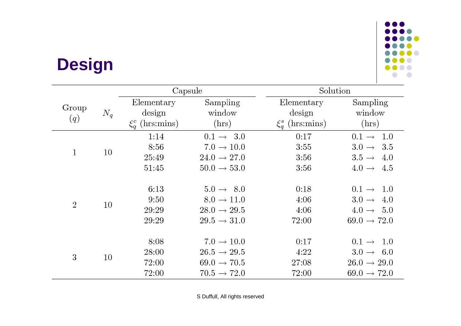#### **Design**



|                |       | Capsule                                      |                                                                                                         | Solution                                     |                                                                                                       |
|----------------|-------|----------------------------------------------|---------------------------------------------------------------------------------------------------------|----------------------------------------------|-------------------------------------------------------------------------------------------------------|
| Group<br>(q)   | $N_q$ | Elementary<br>design<br>$\xi_q^c$ (hrs:mins) | Sampling<br>window<br>(hrs)                                                                             | Elementary<br>design<br>$\xi_q^s$ (hrs:mins) | Sampling<br>window<br>(hrs)                                                                           |
| $\mathbf{1}$   | 10    | 1:14<br>8:56<br>25:49<br>51:45               | $0.1 \rightarrow 3.0$<br>$7.0 \rightarrow 10.0$<br>$24.0 \rightarrow 27.0$<br>$50.0 \rightarrow 53.0$   | 0:17<br>3:55<br>3:56<br>3:56                 | $0.1 \rightarrow 1.0$<br>$3.0 \rightarrow 3.5$<br>$3.5 \rightarrow 4.0$<br>$4.0 \rightarrow 4.5$      |
| $\overline{2}$ | 10    | 6:13<br>9:50<br>29:29<br>29:29               | $5.0 \rightarrow 8.0$<br>$8.0 \rightarrow 11.0$<br>$28.0 \rightarrow 29.5$<br>$29.5 \rightarrow 31.0$   | 0:18<br>4:06<br>4:06<br>72:00                | $0.1 \rightarrow 1.0$<br>$3.0 \rightarrow$<br>4.0<br>$4.0 \rightarrow 5.0$<br>$69.0 \rightarrow 72.0$ |
| 3              | 10    | 8:08<br>28:00<br>72:00<br>72:00              | $7.0 \rightarrow 10.0$<br>$26.5 \rightarrow 29.5$<br>$69.0 \rightarrow 70.5$<br>$70.5 \rightarrow 72.0$ | 0:17<br>4:22<br>27:08<br>72:00               | $0.1 \rightarrow 1.0$<br>$3.0 \rightarrow 6.0$<br>$26.0 \rightarrow 29.0$<br>$69.0 \rightarrow 72.0$  |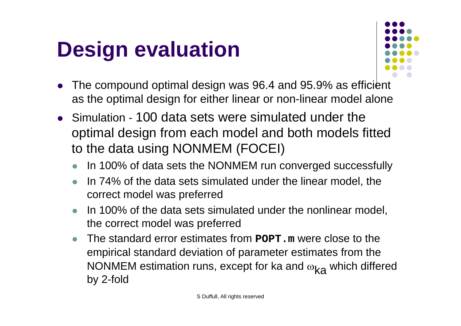### **Design evaluation**



- $\bullet$  The compound optimal design was 96.4 and 95.9% as efficient as the optimal design for either linear or non-linear model alone
- Simulation 100 data sets were simulated under the optimal design from each model and both models fitted to the data using NONMEM (FOCEI)
	- zIn 100% of data sets the NONMEM run converged successfully
	- $\bullet$  In 74% of the data sets simulated under the linear model, the correct model was preferred
	- $\bullet$  In 100% of the data sets simulated under the nonlinear model, the correct model was preferred
	- $\bullet$  The standard error estimates from **POPT.m** were close to the empirical standard deviation of parameter estimates from the NONMEM estimation runs, except for ka and  $\omega_\mathsf{ka}$  which differed by 2-fold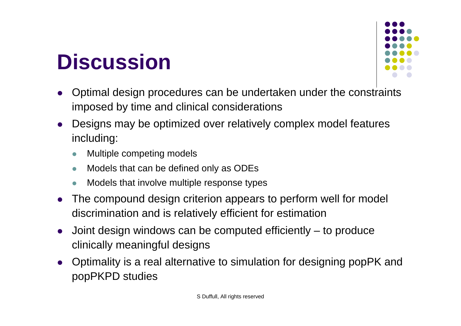### **Discussion**



- $\bullet$  Optimal design procedures can be undertaken under the constraints imposed by time and clinical considerations
- $\bullet$  Designs may be optimized over relatively complex model features including:
	- $\bullet$ Multiple competing models
	- $\bullet$ Models that can be defined only as ODEs
	- $\bullet$ Models that involve multiple response types
- $\bullet$  The compound design criterion appears to perform well for model discrimination and is relatively efficient for estimation
- $\bullet$  Joint design windows can be computed efficiently – to produce clinically meaningful designs
- $\bullet$  Optimality is a real alternative to simulation for designing popPK and popPKPD studies